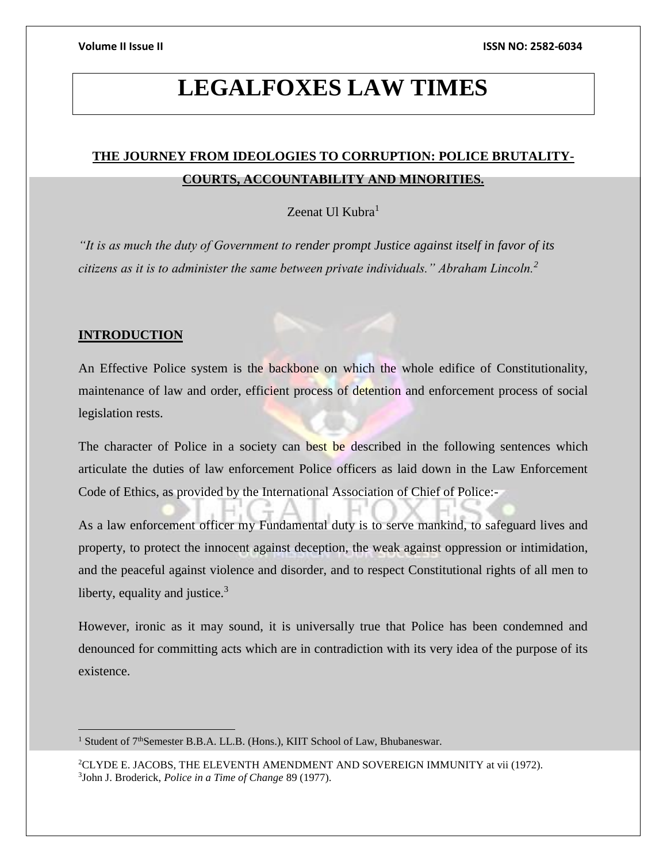## **LEGALFOXES LAW TIMES**

### **THE JOURNEY FROM IDEOLOGIES TO CORRUPTION: POLICE BRUTALITY-COURTS, ACCOUNTABILITY AND MINORITIES.**

Zeenat Ul Kubra<sup>1</sup>

*"It is as much the duty of Government to render prompt Justice against itself in favor of its citizens as it is to administer the same between private individuals." Abraham Lincoln.<sup>2</sup>*

#### **INTRODUCTION**

 $\overline{a}$ 

An Effective Police system is the backbone on which the whole edifice of Constitutionality, maintenance of law and order, efficient process of detention and enforcement process of social legislation rests.

The character of Police in a society can best be described in the following sentences which articulate the duties of law enforcement Police officers as laid down in the Law Enforcement Code of Ethics, as provided by the International Association of Chief of Police:-

As a law enforcement officer my Fundamental duty is to serve mankind, to safeguard lives and property, to protect the innocent against deception, the weak against oppression or intimidation, and the peaceful against violence and disorder, and to respect Constitutional rights of all men to liberty, equality and justice. $3$ 

However, ironic as it may sound, it is universally true that Police has been condemned and denounced for committing acts which are in contradiction with its very idea of the purpose of its existence.

<sup>1</sup> Student of 7<sup>th</sup>Semester B.B.A. LL.B. (Hons.), KIIT School of Law, Bhubaneswar.

<sup>2</sup>CLYDE E. JACOBS, THE ELEVENTH AMENDMENT AND SOVEREIGN IMMUNITY at vii (1972). 3 John J. Broderick, *Police in a Time of Change* 89 (1977).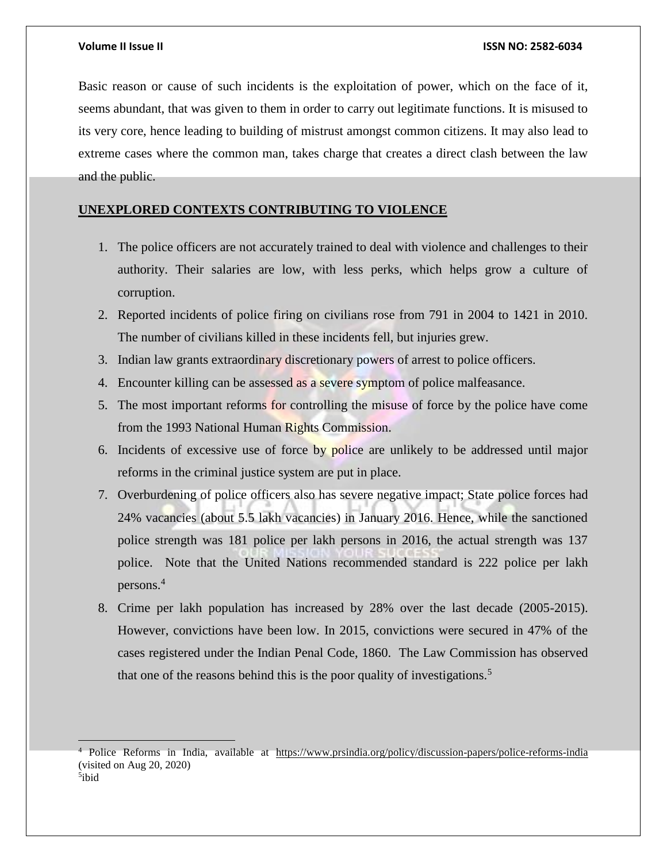Basic reason or cause of such incidents is the exploitation of power, which on the face of it, seems abundant, that was given to them in order to carry out legitimate functions. It is misused to its very core, hence leading to building of mistrust amongst common citizens. It may also lead to extreme cases where the common man, takes charge that creates a direct clash between the law and the public.

### **UNEXPLORED CONTEXTS CONTRIBUTING TO VIOLENCE**

- 1. The police officers are not accurately trained to deal with violence and challenges to their authority. Their salaries are low, with less perks, which helps grow a culture of corruption.
- 2. Reported incidents of police firing on civilians rose from 791 in 2004 to 1421 in 2010. The number of civilians killed in these incidents fell, but injuries grew.
- 3. Indian law grants extraordinary discretionary powers of arrest to police officers.
- 4. Encounter killing can be assessed as a severe symptom of police malfeasance.
- 5. The most important reforms for controlling the misuse of force by the police have come from the 1993 National Human Rights Commission.
- 6. Incidents of excessive use of force by police are unlikely to be addressed until major reforms in the criminal justice system are put in place.
- 7. Overburdening of police officers also has severe negative impact; State police forces had 24% vacancies (about 5.5 lakh vacancies) in January 2016. Hence, while the sanctioned police strength was 181 police per lakh persons in 2016, the actual strength was 137 police. Note that the United Nations recommended standard is 222 police per lakh persons.<sup>4</sup>
- 8. Crime per lakh population has increased by 28% over the last decade (2005-2015). However, convictions have been low. In 2015, convictions were secured in 47% of the cases registered under the Indian Penal Code, 1860. The Law Commission has observed that one of the reasons behind this is the poor quality of investigations.<sup>5</sup>

 $\overline{a}$ <sup>4</sup> Police Reforms in India, available at <https://www.prsindia.org/policy/discussion-papers/police-reforms-india> (visited on Aug 20, 2020)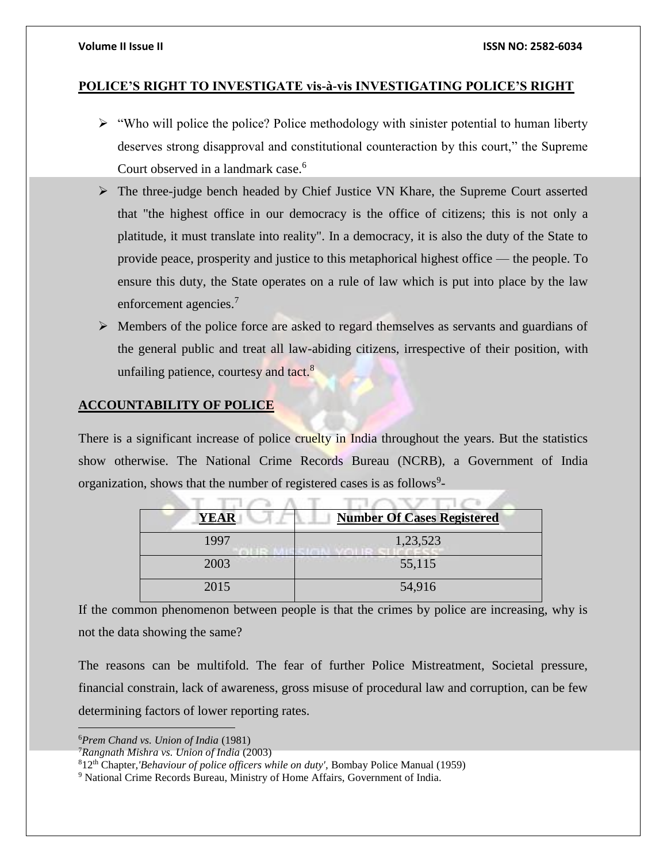#### **POLICE'S RIGHT TO INVESTIGATE vis-à-vis INVESTIGATING POLICE'S RIGHT**

- $\triangleright$  "Who will police the police? Police methodology with sinister potential to human liberty deserves strong disapproval and constitutional counteraction by this court," the Supreme Court observed in a landmark case.<sup>6</sup>
- The three-judge bench headed by Chief Justice VN Khare, the Supreme Court asserted that "the highest office in our democracy is the office of citizens; this is not only a platitude, it must translate into reality". In a democracy, it is also the duty of the State to provide peace, prosperity and justice to this metaphorical highest office — the people. To ensure this duty, the State operates on a rule of law which is put into place by the law enforcement agencies.<sup>7</sup>
- $\triangleright$  Members of the police force are asked to regard themselves as servants and guardians of the general public and treat all law-abiding citizens, irrespective of their position, with unfailing patience, courtesy and tact.<sup>8</sup>

### **ACCOUNTABILITY OF POLICE**

There is a significant increase of police cruelty in India throughout the years. But the statistics show otherwise. The National Crime Records Bureau (NCRB), a Government of India organization, shows that the number of registered cases is as follows<sup>9</sup>-

| <b>YEAR</b> | <b>Number Of Cases Registered</b> |
|-------------|-----------------------------------|
| 1997        | 1,23,523                          |
| 2003        | 55,115                            |
| 2015        | 54,916                            |

If the common phenomenon between people is that the crimes by police are increasing, why is not the data showing the same?

The reasons can be multifold. The fear of further Police Mistreatment, Societal pressure, financial constrain, lack of awareness, gross misuse of procedural law and corruption, can be few determining factors of lower reporting rates.

<sup>6</sup>*Prem Chand vs. Union of India* (1981)

<sup>7</sup>*Rangnath Mishra vs. Union of India* (2003)

<sup>8</sup>12th Chapter*,'Behaviour of police officers while on duty',* Bombay Police Manual (1959)

<sup>&</sup>lt;sup>9</sup> National Crime Records Bureau, Ministry of Home Affairs, Government of India.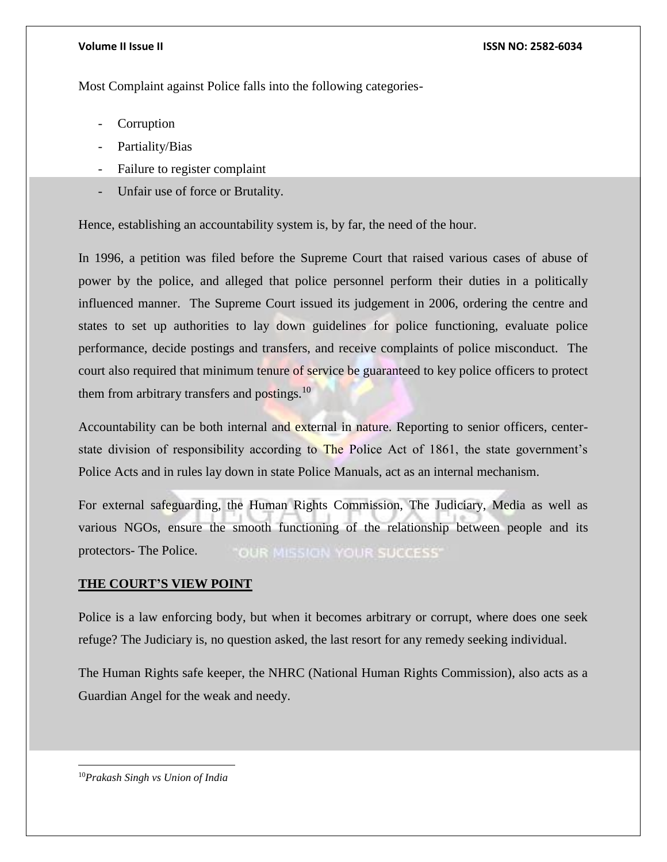#### **Volume II Issue II ISSN NO: 2582-6034**

Most Complaint against Police falls into the following categories-

- **Corruption**
- Partiality/Bias
- Failure to register complaint
- Unfair use of force or Brutality.

Hence, establishing an accountability system is, by far, the need of the hour.

In 1996, a petition was filed before the Supreme Court that raised various cases of abuse of power by the police, and alleged that police personnel perform their duties in a politically influenced manner. The Supreme Court issued its judgement in 2006, ordering the centre and states to set up authorities to lay down guidelines for police functioning, evaluate police performance, decide postings and transfers, and receive complaints of police misconduct. The court also required that minimum tenure of service be guaranteed to key police officers to protect them from arbitrary transfers and postings. $10$ 

Accountability can be both internal and external in nature. Reporting to senior officers, centerstate division of responsibility according to The Police Act of 1861, the state government's Police Acts and in rules lay down in state Police Manuals, act as an internal mechanism.

For external safeguarding, the Human Rights Commission, The Judiciary, Media as well as various NGOs, ensure the smooth functioning of the relationship between people and its protectors- The Police. **OUR MISSION YOUR SUCCESS'** 

### **THE COURT'S VIEW POINT**

Police is a law enforcing body, but when it becomes arbitrary or corrupt, where does one seek refuge? The Judiciary is, no question asked, the last resort for any remedy seeking individual.

The Human Rights safe keeper, the NHRC (National Human Rights Commission), also acts as a Guardian Angel for the weak and needy.

10*Prakash Singh vs Union of India*

 $\overline{\phantom{a}}$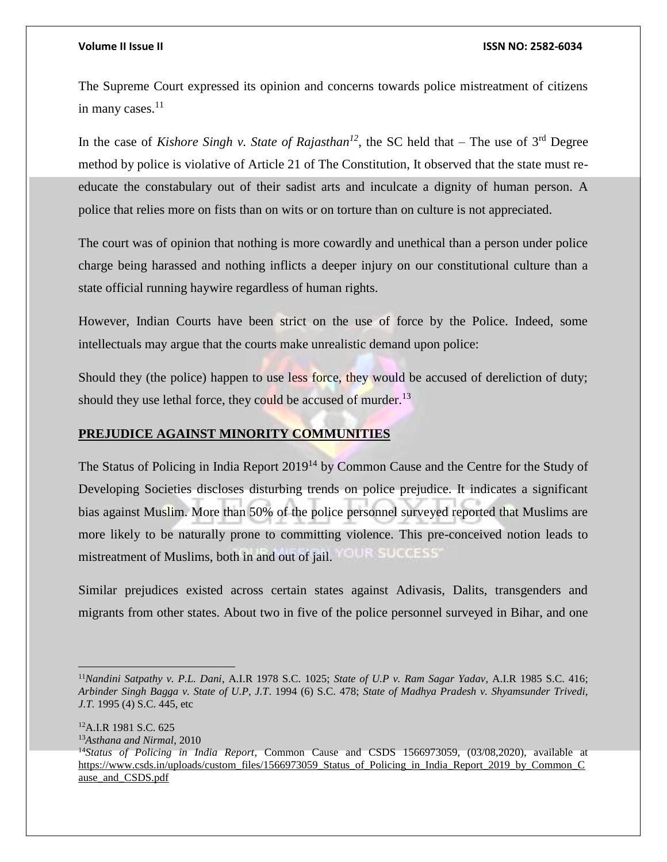$\overline{a}$ 

#### **Volume II Issue II ISSN NO: 2582-6034**

The Supreme Court expressed its opinion and concerns towards police mistreatment of citizens in many cases. $11$ 

In the case of *Kishore Singh v. State of Rajasthan*<sup>12</sup>, the SC held that – The use of  $3<sup>rd</sup>$  Degree method by police is violative of Article 21 of The Constitution, It observed that the state must reeducate the constabulary out of their sadist arts and inculcate a dignity of human person. A police that relies more on fists than on wits or on torture than on culture is not appreciated.

The court was of opinion that nothing is more cowardly and unethical than a person under police charge being harassed and nothing inflicts a deeper injury on our constitutional culture than a state official running haywire regardless of human rights.

However, Indian Courts have been strict on the use of force by the Police. Indeed, some intellectuals may argue that the courts make unrealistic demand upon police:

Should they (the police) happen to use less force, they would be accused of dereliction of duty; should they use lethal force, they could be accused of murder. $^{13}$ 

### **PREJUDICE AGAINST MINORITY COMMUNITIES**

The Status of Policing in India Report 2019<sup>14</sup> by Common Cause and the Centre for the Study of Developing Societies discloses disturbing trends on police prejudice. It indicates a significant bias against Muslim. More than 50% of the police personnel surveyed reported that Muslims are more likely to be naturally prone to committing violence. This pre-conceived notion leads to OUR SUCCESS' mistreatment of Muslims, both in and out of jail.

Similar prejudices existed across certain states against Adivasis, Dalits, transgenders and migrants from other states. About two in five of the police personnel surveyed in Bihar, and one

<sup>12</sup>A.I.R 1981 S.C. 625 <sup>13</sup>*Asthana and Nirmal*, 2010 <sup>14</sup>*Status of Policing in India Report*, Common Cause and CSDS 1566973059, (03/08,2020), available at [https://www.csds.in/uploads/custom\\_files/1566973059\\_Status\\_of\\_Policing\\_in\\_India\\_Report\\_2019\\_by\\_Common\\_C](https://www.csds.in/uploads/custom_files/1566973059_Status_of_Policing_in_India_Report_2019_by_Common_Cause_and_CSDS.pdf) ause and CSDS.pdf

<sup>11</sup>*Nandini Satpathy v. P.L. Dani*, A.I.R 1978 S.C. 1025; *State of U.P v. Ram Sagar Yadav*, A.I.R 1985 S.C. 416; *Arbinder Singh Bagga v. State of U.P, J.T*. 1994 (6) S.C. 478; *State of Madhya Pradesh v. Shyamsunder Trivedi, J.T.* 1995 (4) S.C. 445, etc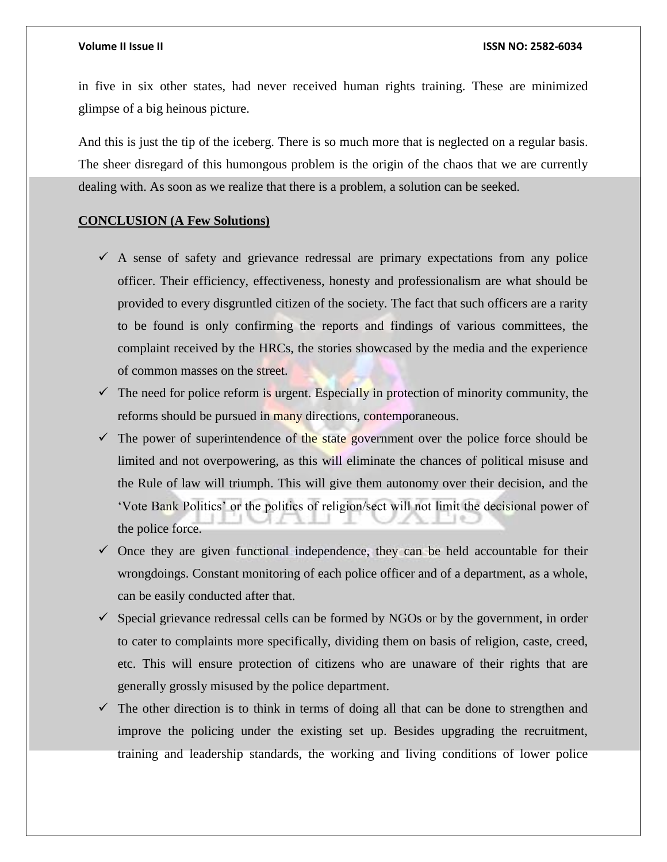in five in six other states, had never received human rights training. These are minimized glimpse of a big heinous picture.

And this is just the tip of the iceberg. There is so much more that is neglected on a regular basis. The sheer disregard of this humongous problem is the origin of the chaos that we are currently dealing with. As soon as we realize that there is a problem, a solution can be seeked.

#### **CONCLUSION (A Few Solutions)**

- $\checkmark$  A sense of safety and grievance redressal are primary expectations from any police officer. Their efficiency, effectiveness, honesty and professionalism are what should be provided to every disgruntled citizen of the society. The fact that such officers are a rarity to be found is only confirming the reports and findings of various committees, the complaint received by the HRCs, the stories showcased by the media and the experience of common masses on the street.
- $\checkmark$  The need for police reform is urgent. Especially in protection of minority community, the reforms should be pursued in many directions, contemporaneous.
- $\checkmark$  The power of superintendence of the state government over the police force should be limited and not overpowering, as this will eliminate the chances of political misuse and the Rule of law will triumph. This will give them autonomy over their decision, and the 'Vote Bank Politics' or the politics of religion/sect will not limit the decisional power of the police force.
- $\checkmark$  Once they are given functional independence, they can be held accountable for their wrongdoings. Constant monitoring of each police officer and of a department, as a whole, can be easily conducted after that.
- $\checkmark$  Special grievance redressal cells can be formed by NGOs or by the government, in order to cater to complaints more specifically, dividing them on basis of religion, caste, creed, etc. This will ensure protection of citizens who are unaware of their rights that are generally grossly misused by the police department.
- $\checkmark$  The other direction is to think in terms of doing all that can be done to strengthen and improve the policing under the existing set up. Besides upgrading the recruitment, training and leadership standards, the working and living conditions of lower police